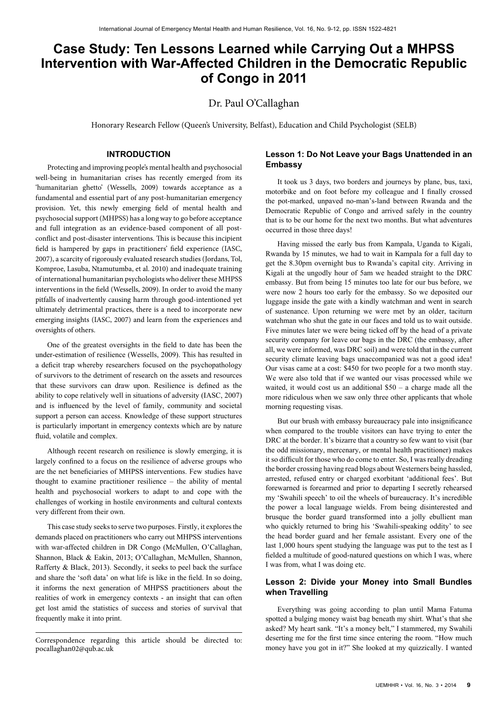# **Case Study: Ten Lessons Learned while Carrying Out a MHPSS Intervention with War-Affected Children in the Democratic Republic of Congo in 2011**

Dr. Paul O'Callaghan

Honorary Research Fellow (Queen's University, Belfast), Education and Child Psychologist (SELB)

#### **INTRODUCTION**

Protecting and improving people's mental health and psychosocial well-being in humanitarian crises has recently emerged from its 'humanitarian ghetto' (Wessells, 2009) towards acceptance as a fundamental and essential part of any post-humanitarian emergency provision. Yet, this newly emerging field of mental health and psychosocial support (MHPSS) has a long way to go before acceptance and full integration as an evidence-based component of all postconflict and post-disaster interventions. This is because this incipient field is hampered by gaps in practitioners' field experience (IASC, 2007), a scarcity of rigorously evaluated research studies (Jordans, Tol, Komproe, Lasuba, Ntamutumba, et al. 2010) and inadequate training of international humanitarian psychologists who deliver these MHPSS interventions in the field (Wessells, 2009). In order to avoid the many pitfalls of inadvertently causing harm through good-intentioned yet ultimately detrimental practices, there is a need to incorporate new emerging insights (IASC, 2007) and learn from the experiences and oversights of others.

One of the greatest oversights in the field to date has been the under-estimation of resilience (Wessells, 2009). This has resulted in a deficit trap whereby researchers focused on the psychopathology of survivors to the detriment of research on the assets and resources that these survivors can draw upon. Resilience is defined as the ability to cope relatively well in situations of adversity (IASC, 2007) and is influenced by the level of family, community and societal support a person can access. Knowledge of these support structures is particularly important in emergency contexts which are by nature fluid, volatile and complex.

Although recent research on resilience is slowly emerging, it is largely confined to a focus on the resilience of adverse groups who are the net beneficiaries of MHPSS interventions. Few studies have thought to examine practitioner resilience – the ability of mental health and psychosocial workers to adapt to and cope with the challenges of working in hostile environments and cultural contexts very different from their own.

This case study seeks to serve two purposes. Firstly, it explores the demands placed on practitioners who carry out MHPSS interventions with war-affected children in DR Congo (McMullen, O'Callaghan, Shannon, Black & Eakin, 2013; O'Callaghan, McMullen, Shannon, Rafferty & Black, 2013). Secondly, it seeks to peel back the surface and share the 'soft data' on what life is like in the field. In so doing, it informs the next generation of MHPSS practitioners about the realities of work in emergency contexts - an insight that can often get lost amid the statistics of success and stories of survival that frequently make it into print.

# **Lesson 1: Do Not Leave your Bags Unattended in an Embassy**

It took us 3 days, two borders and journeys by plane, bus, taxi, motorbike and on foot before my colleague and I finally crossed the pot-marked, unpaved no-man's-land between Rwanda and the Democratic Republic of Congo and arrived safely in the country that is to be our home for the next two months. But what adventures occurred in those three days!

Having missed the early bus from Kampala, Uganda to Kigali, Rwanda by 15 minutes, we had to wait in Kampala for a full day to get the 8.30pm overnight bus to Rwanda's capital city. Arriving in Kigali at the ungodly hour of 5am we headed straight to the DRC embassy. But from being 15 minutes too late for our bus before, we were now 2 hours too early for the embassy. So we deposited our luggage inside the gate with a kindly watchman and went in search of sustenance. Upon returning we were met by an older, taciturn watchman who shut the gate in our faces and told us to wait outside. Five minutes later we were being ticked off by the head of a private security company for leave our bags in the DRC (the embassy, after all, we were informed, was DRC soil) and were told that in the current security climate leaving bags unaccompanied was not a good idea! Our visas came at a cost: \$450 for two people for a two month stay. We were also told that if we wanted our visas processed while we waited, it would cost us an additional \$50 – a charge made all the more ridiculous when we saw only three other applicants that whole morning requesting visas.

But our brush with embassy bureaucracy pale into insignificance when compared to the trouble visitors can have trying to enter the DRC at the border. It's bizarre that a country so few want to visit (bar the odd missionary, mercenary, or mental health practitioner) makes it so difficult for those who do come to enter. So, I was really dreading the border crossing having read blogs about Westerners being hassled, arrested, refused entry or charged exorbitant 'additional fees'. But forewarned is forearmed and prior to departing I secretly rehearsed my 'Swahili speech' to oil the wheels of bureaucracy. It's incredible the power a local language wields. From being disinterested and brusque the border guard transformed into a jolly ebullient man who quickly returned to bring his 'Swahili-speaking oddity' to see the head border guard and her female assistant. Every one of the last 1,000 hours spent studying the language was put to the test as I fielded a multitude of good-natured questions on which I was, where I was from, what I was doing etc.

## **Lesson 2: Divide your Money into Small Bundles when Travelling**

Everything was going according to plan until Mama Fatuma spotted a bulging money waist bag beneath my shirt. What's that she asked? My heart sank. "It's a money belt," I stammered, my Swahili deserting me for the first time since entering the room. "How much money have you got in it?" She looked at my quizzically. I wanted

Correspondence regarding this article should be directed to: pocallaghan02@qub.ac.uk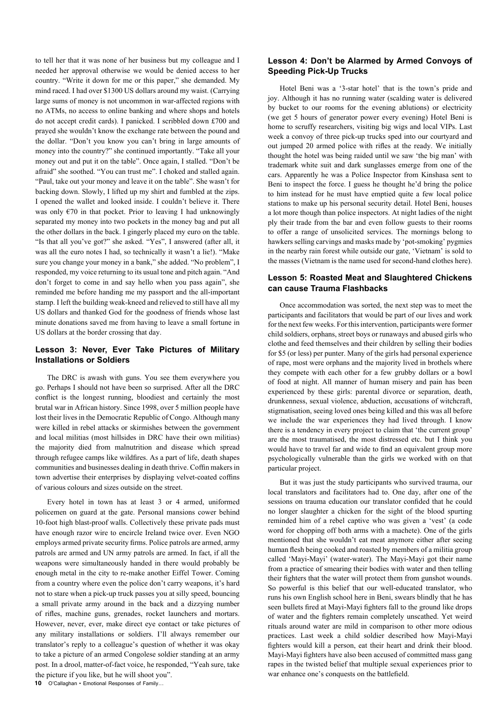to tell her that it was none of her business but my colleague and I needed her approval otherwise we would be denied access to her country. "Write it down for me or this paper," she demanded. My mind raced. I had over \$1300 US dollars around my waist. (Carrying large sums of money is not uncommon in war-affected regions with no ATMs, no access to online banking and where shops and hotels do not accept credit cards). I panicked. I scribbled down £700 and prayed she wouldn't know the exchange rate between the pound and the dollar. "Don't you know you can't bring in large amounts of money into the country?" she continued importantly. "Take all your money out and put it on the table". Once again, I stalled. "Don't be afraid" she soothed. "You can trust me". I choked and stalled again. "Paul, take out your money and leave it on the table". She wasn't for backing down. Slowly, I lifted up my shirt and fumbled at the zips. I opened the wallet and looked inside. I couldn't believe it. There was only  $\epsilon$ 70 in that pocket. Prior to leaving I had unknowingly separated my money into two pockets in the money bag and put all the other dollars in the back. I gingerly placed my euro on the table. "Is that all you've got?" she asked. "Yes", I answered (after all, it was all the euro notes I had, so technically it wasn't a lie!). "Make sure you change your money in a bank," she added. "No problem", I responded, my voice returning to its usual tone and pitch again. "And don't forget to come in and say hello when you pass again", she reminded me before handing me my passport and the all-important stamp. I left the building weak-kneed and relieved to still have all my US dollars and thanked God for the goodness of friends whose last minute donations saved me from having to leave a small fortune in US dollars at the border crossing that day.

## **Lesson 3: Never, Ever Take Pictures of Military Installations or Soldiers**

The DRC is awash with guns. You see them everywhere you go. Perhaps I should not have been so surprised. After all the DRC conflict is the longest running, bloodiest and certainly the most brutal war in African history. Since 1998, over 5 million people have lost their lives in the Democratic Republic of Congo. Although many were killed in rebel attacks or skirmishes between the government and local militias (most hillsides in DRC have their own militias) the majority died from malnutrition and disease which spread through refugee camps like wildfires. As a part of life, death shapes communities and businesses dealing in death thrive. Coffin makers in town advertise their enterprises by displaying velvet-coated coffins of various colours and sizes outside on the street.

**10** O'Callaghan • Emotional Responses of Family... Every hotel in town has at least 3 or 4 armed, uniformed policemen on guard at the gate. Personal mansions cower behind 10-foot high blast-proof walls. Collectively these private pads must have enough razor wire to encircle Ireland twice over. Even NGO employs armed private security firms. Police patrols are armed, army patrols are armed and UN army patrols are armed. In fact, if all the weapons were simultaneously handed in there would probably be enough metal in the city to re-make another Eiffel Tower. Coming from a country where even the police don't carry weapons, it's hard not to stare when a pick-up truck passes you at silly speed, bouncing a small private army around in the back and a dizzying number of rifles, machine guns, grenades, rocket launchers and mortars. However, never, ever, make direct eye contact or take pictures of any military installations or soldiers. I'll always remember our translator's reply to a colleague's question of whether it was okay to take a picture of an armed Congolese soldier standing at an army post. In a drool, matter-of-fact voice, he responded, "Yeah sure, take the picture if you like, but he will shoot you".

# **Lesson 4: Don't be Alarmed by Armed Convoys of Speeding Pick-Up Trucks**

Hotel Beni was a '3-star hotel' that is the town's pride and joy. Although it has no running water (scalding water is delivered by bucket to our rooms for the evening ablutions) or electricity (we get 5 hours of generator power every evening) Hotel Beni is home to scruffy researchers, visiting big wigs and local VIPs. Last week a convoy of three pick-up trucks sped into our courtyard and out jumped 20 armed police with rifles at the ready. We initially thought the hotel was being raided until we saw 'the big man' with trademark white suit and dark sunglasses emerge from one of the cars. Apparently he was a Police Inspector from Kinshasa sent to Beni to inspect the force. I guess he thought he'd bring the police to him instead for he must have emptied quite a few local police stations to make up his personal security detail. Hotel Beni, houses a lot more though than police inspectors. At night ladies of the night ply their trade from the bar and even follow guests to their rooms to offer a range of unsolicited services. The mornings belong to hawkers selling carvings and masks made by 'pot-smoking' pygmies in the nearby rain forest while outside our gate, 'Vietnam' is sold to the masses (Vietnam is the name used for second-hand clothes here).

## **Lesson 5: Roasted Meat and Slaughtered Chickens can cause Trauma Flashbacks**

Once accommodation was sorted, the next step was to meet the participants and facilitators that would be part of our lives and work for the next few weeks. For this intervention, participants were former child soldiers, orphans, street boys or runaways and abused girls who clothe and feed themselves and their children by selling their bodies for \$5 (or less) per punter. Many of the girls had personal experience of rape, most were orphans and the majority lived in brothels where they compete with each other for a few grubby dollars or a bowl of food at night. All manner of human misery and pain has been experienced by these girls: parental divorce or separation, death, drunkenness, sexual violence, abduction, accusations of witchcraft, stigmatisation, seeing loved ones being killed and this was all before we include the war experiences they had lived through. I know there is a tendency in every project to claim that 'the current group' are the most traumatised, the most distressed etc. but I think you would have to travel far and wide to find an equivalent group more psychologically vulnerable than the girls we worked with on that particular project.

But it was just the study participants who survived trauma, our local translators and facilitators had to. One day, after one of the sessions on trauma education our translator confided that he could no longer slaughter a chicken for the sight of the blood spurting reminded him of a rebel captive who was given a 'vest' (a code word for chopping off both arms with a machete). One of the girls mentioned that she wouldn't eat meat anymore either after seeing human flesh being cooked and roasted by members of a militia group called 'Mayi-Mayi' (water-water). The Mayi-Mayi got their name from a practice of smearing their bodies with water and then telling their fighters that the water will protect them from gunshot wounds. So powerful is this belief that our well-educated translator, who runs his own English school here in Beni, swears blindly that he has seen bullets fired at Mayi-Mayi fighters fall to the ground like drops of water and the fighters remain completely unscathed. Yet weird rituals around water are mild in comparison to other more odious practices. Last week a child soldier described how Mayi-Mayi fighters would kill a person, eat their heart and drink their blood. Mayi-Mayi fighters have also been accused of committed mass gang rapes in the twisted belief that multiple sexual experiences prior to war enhance one's conquests on the battlefield.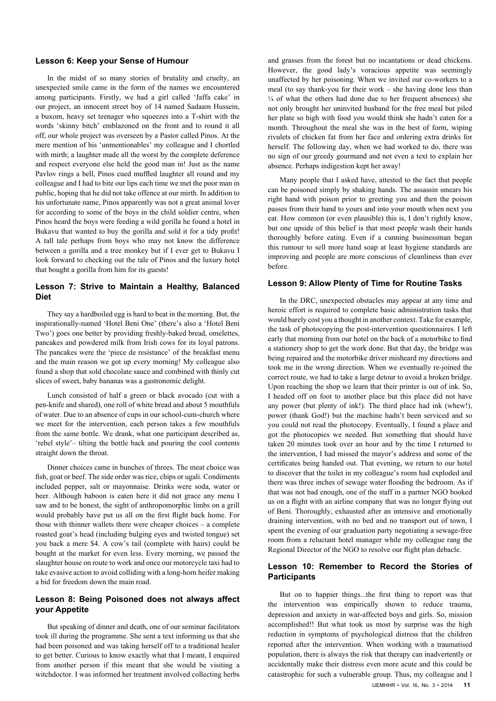## **Lesson 6: Keep your Sense of Humour**

In the midst of so many stories of brutality and cruelty, an unexpected smile came in the form of the names we encountered among participants. Firstly, we had a girl called 'Jaffa cake' in our project, an innocent street boy of 14 named Sadaam Hussein, a buxom, heavy set teenager who squeezes into a T-shirt with the words 'skinny bitch' emblazoned on the front and to round it all off, our whole project was overseen by a Pastor called Pinos. At the mere mention of his 'unmentionables' my colleague and I chortled with mirth; a laughter made all the worst by the complete deference and respect everyone else held the good man in! Just as the name Pavlov rings a bell, Pinos cued muffled laughter all round and my colleague and I had to bite our lips each time we met the poor man in public, hoping that he did not take offence at our mirth. In addition to his unfortunate name, Pinos apparently was not a great animal lover for according to some of the boys in the child soldier centre, when Pinos heard the boys were feeding a wild gorilla he found a hotel in Bukavu that wanted to buy the gorilla and sold it for a tidy profit! A tall tale perhaps from boys who may not know the difference between a gorilla and a tree monkey but if I ever get to Bukavu I look forward to checking out the tale of Pinos and the luxury hotel that bought a gorilla from him for its guests!

# **Lesson 7: Strive to Maintain a Healthy, Balanced Diet**

They say a hardboiled egg is hard to beat in the morning. But, the inspirationally-named 'Hotel Beni One' (there's also a 'Hotel Beni Two') goes one better by providing freshly-baked bread, omelettes, pancakes and powdered milk from Irish cows for its loyal patrons. The pancakes were the 'piece de resistance' of the breakfast menu and the main reason we got up every morning! My colleague also found a shop that sold chocolate sauce and combined with thinly cut slices of sweet, baby bananas was a gastronomic delight.

Lunch consisted of half a green or black avocado (cut with a pen-knife and shared), one roll of white bread and about 5 mouthfuls of water. Due to an absence of cups in our school-cum-church where we meet for the intervention, each person takes a few mouthfuls from the same bottle. We drank, what one participant described as, 'rebel style'– tilting the bottle back and pouring the cool contents straight down the throat.

Dinner choices came in bunches of threes. The meat choice was fish, goat or beef. The side order was rice, chips or ugali. Condiments included pepper, salt or mayonnaise. Drinks were soda, water or beer. Although baboon is eaten here it did not grace any menu I saw and to be honest, the sight of anthropomorphic limbs on a grill would probably have put us all on the first flight back home. For those with thinner wallets there were cheaper choices – a complete roasted goat's head (including bulging eyes and twisted tongue) set you back a mere \$4. A cow's tail (complete with hairs) could be bought at the market for even less. Every morning, we passed the slaughter house on route to work and once our motorcycle taxi had to take evasive action to avoid colliding with a long-horn heifer making a bid for freedom down the main road.

### **Lesson 8: Being Poisoned does not always affect your Appetite**

But speaking of dinner and death, one of our seminar facilitators took ill during the programme. She sent a text informing us that she had been poisoned and was taking herself off to a traditional healer to get better. Curious to know exactly what that I meant, I enquired from another person if this meant that she would be visiting a witchdoctor. I was informed her treatment involved collecting herbs

and grasses from the forest but no incantations or dead chickens. However, the good lady's voracious appetite was seemingly unaffected by her poisoning. When we invited our co-workers to a meal (to say thank-you for their work – she having done less than  $\frac{1}{4}$  of what the others had done due to her frequent absences) she not only brought her uninvited husband for the free meal but piled her plate so high with food you would think she hadn't eaten for a month. Throughout the meal she was in the best of form, wiping rivulets of chicken fat from her face and ordering extra drinks for herself. The following day, when we had worked to do, there was no sign of our greedy gourmand and not even a text to explain her absence. Perhaps indigestion kept her away!

Many people that I asked have, attested to the fact that people can be poisoned simply by shaking hands. The assassin smears his right hand with poison prior to greeting you and then the poison passes from their hand to yours and into your mouth when next you eat. How common (or even plausible) this is, I don't rightly know, but one upside of this belief is that most people wash their hands thoroughly before eating. Even if a cunning businessman began this rumour to sell more hand soap at least hygiene standards are improving and people are more conscious of cleanliness than ever before.

## **Lesson 9: Allow Plenty of Time for Routine Tasks**

In the DRC, unexpected obstacles may appear at any time and heroic effort is required to complete basic administration tasks that would barely cost you a thought in another context. Take for example, the task of photocopying the post-intervention questionnaires. I left early that morning from our hotel on the back of a motorbike to find a stationery shop to get the work done. But that day, the bridge was being repaired and the motorbike driver misheard my directions and took me in the wrong direction. When we eventually re-joined the correct route, we had to take a large detour to avoid a broken bridge. Upon reaching the shop we learn that their printer is out of ink. So, I headed off on foot to another place but this place did not have any power (but plenty of ink!). The third place had ink (whew!), power (thank God!) but the machine hadn't been serviced and so you could not read the photocopy. Eventually, I found a place and got the photocopies we needed. But something that should have taken 20 minutes took over an hour and by the time I returned to the intervention, I had missed the mayor's address and some of the certificates being handed out. That evening, we return to our hotel to discover that the toilet in my colleague's room had exploded and there was three inches of sewage water flooding the bedroom. As if that was not bad enough, one of the staff in a partner NGO booked us on a flight with an airline company that was no longer flying out of Beni. Thoroughly, exhausted after an intensive and emotionally draining intervention, with no bed and no transport out of town, I spent the evening of our graduation party negotiating a sewage-free room from a reluctant hotel manager while my colleague rang the Regional Director of the NGO to resolve our flight plan debacle.

#### **Lesson 10: Remember to Record the Stories of Participants**

But on to happier things...the first thing to report was that the intervention was empirically shown to reduce trauma, depression and anxiety in war-affected boys and girls. So, mission accomplished!! But what took us most by surprise was the high reduction in symptoms of psychological distress that the children reported after the intervention. When working with a traumatised population, there is always the risk that therapy can inadvertently or accidentally make their distress even more acute and this could be catastrophic for such a vulnerable group. Thus, my colleague and I